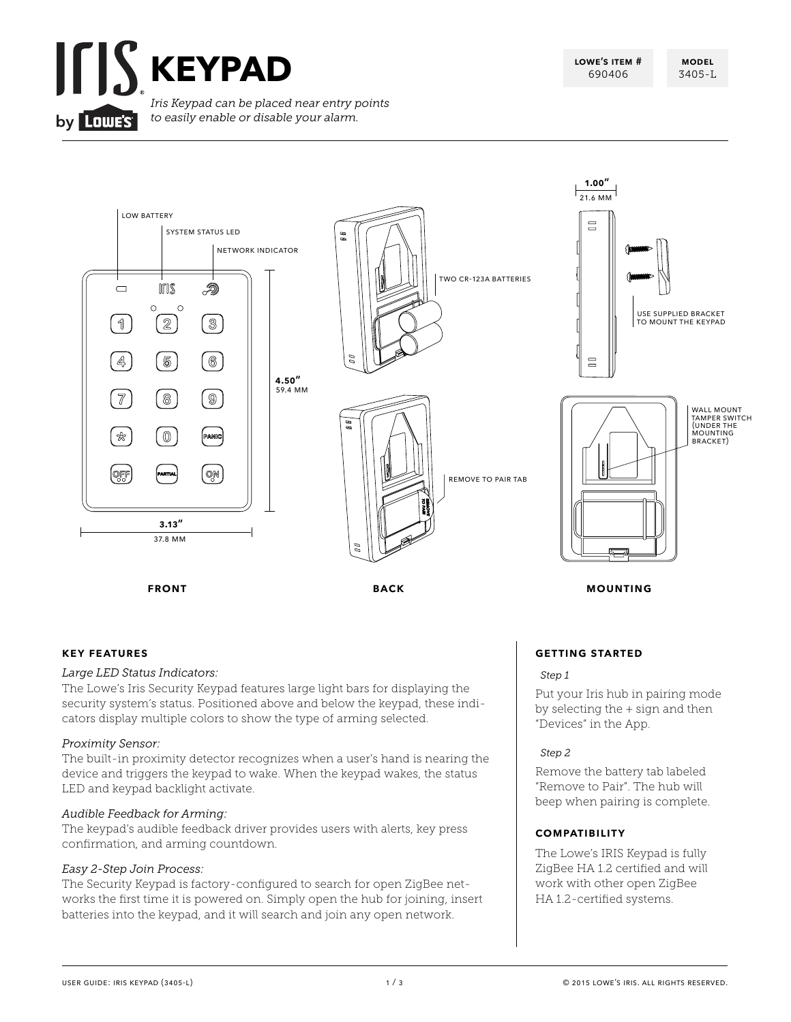



#### **key features**

#### *Large LED Status Indicators:*

The Lowe's Iris Security Keypad features large light bars for displaying the security system's status. Positioned above and below the keypad, these indicators display multiple colors to show the type of arming selected.

#### *Proximity Sensor:*

The built-in proximity detector recognizes when a user's hand is nearing the device and triggers the keypad to wake. When the keypad wakes, the status LED and keypad backlight activate.

#### *Audible Feedback for Arming:*

The keypad's audible feedback driver provides users with alerts, key press confirmation, and arming countdown.

#### *Easy 2-Step Join Process:*

The Security Keypad is factory-configured to search for open ZigBee networks the first time it is powered on. Simply open the hub for joining, insert batteries into the keypad, and it will search and join any open network.

#### **getting started**

#### *Step 1*

Put your Iris hub in pairing mode by selecting the + sign and then "Devices" in the App.

#### *Step 2*

Remove the battery tab labeled "Remove to Pair". The hub will beep when pairing is complete.

#### **compatibility**

The Lowe's IRIS Keypad is fully ZigBee HA 1.2 certified and will work with other open ZigBee HA 1.2-certified systems.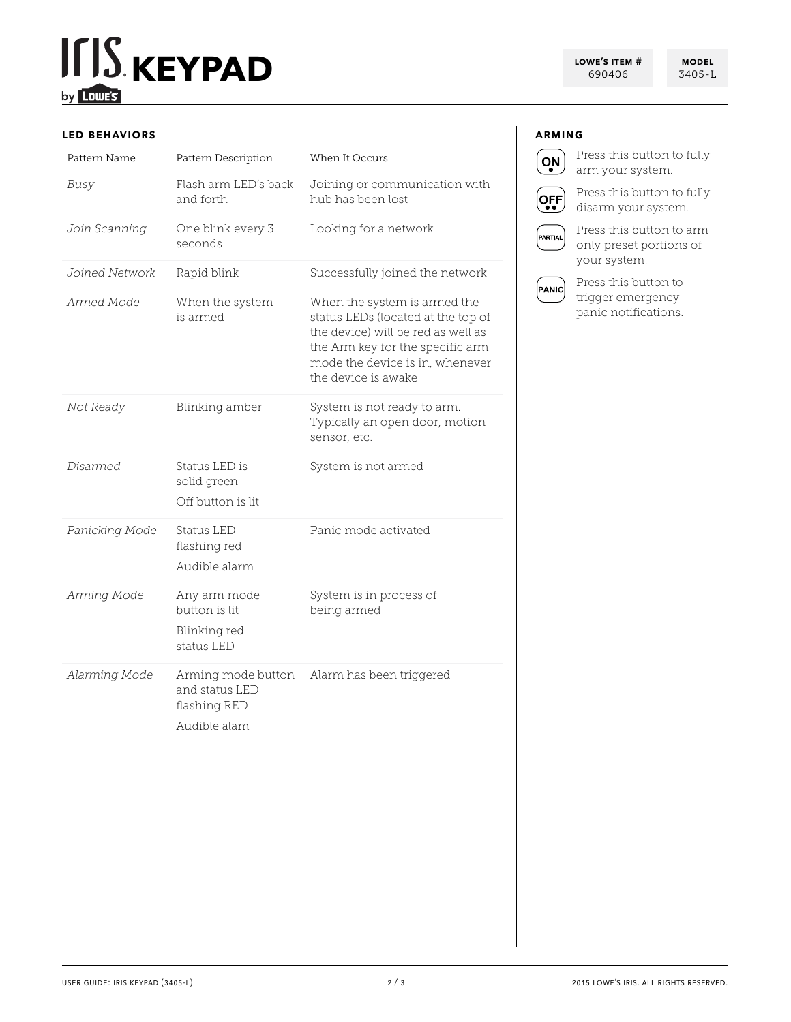# **KEYPAD CONFIDER FOR A SUBSET AND RUN AND RUN AND RUN AND RUN AND RUN AND RUN AND RUN AND RUN AND RUN AND RUN AND RUN AND RUN AND RUN AND RUN AND RUN AND RUN AND RUN AND RUN AND RUN AND RUN AND RUN AND RUN AND RUN AND RU** by Lowe's

**lowe's item #** 690406

### 3405-L

#### **led behaviors**

| Pattern Name   | Pattern Description                                                  | When It Occurs                                                                                                                                                                                         |
|----------------|----------------------------------------------------------------------|--------------------------------------------------------------------------------------------------------------------------------------------------------------------------------------------------------|
| Busy           | Flash arm LED's back<br>and forth                                    | Joining or communication with<br>hub has been lost                                                                                                                                                     |
| Join Scanning  | One blink every 3<br>seconds                                         | Looking for a network                                                                                                                                                                                  |
| Joined Network | Rapid blink                                                          | Successfully joined the network                                                                                                                                                                        |
| Armed Mode     | When the system<br>is armed                                          | When the system is armed the<br>status LEDs (located at the top of<br>the device) will be red as well as<br>the Arm key for the specific arm<br>mode the device is in, whenever<br>the device is awake |
| Not Ready      | Blinking amber                                                       | System is not ready to arm.<br>Typically an open door, motion<br>sensor, etc.                                                                                                                          |
| Disarmed       | Status LED is<br>solid green<br>Off button is lit                    | System is not armed                                                                                                                                                                                    |
| Panicking Mode | Status LED<br>flashing red<br>Audible alarm                          | Panic mode activated                                                                                                                                                                                   |
| Arming Mode    | Any arm mode<br>button is lit<br>Blinking red<br>status LED          | System is in process of<br>being armed                                                                                                                                                                 |
| Alarming Mode  | Arming mode button<br>and status LED<br>flashing RED<br>Audible alam | Alarm has been triggered                                                                                                                                                                               |

### **arming**



Press this button to fully arm your system.

Press this button to fully disarm your system.

PARTIAL

 $[OEF]$ 

Press this button to arm only preset portions of your system.



Press this button to trigger emergency panic notifications.